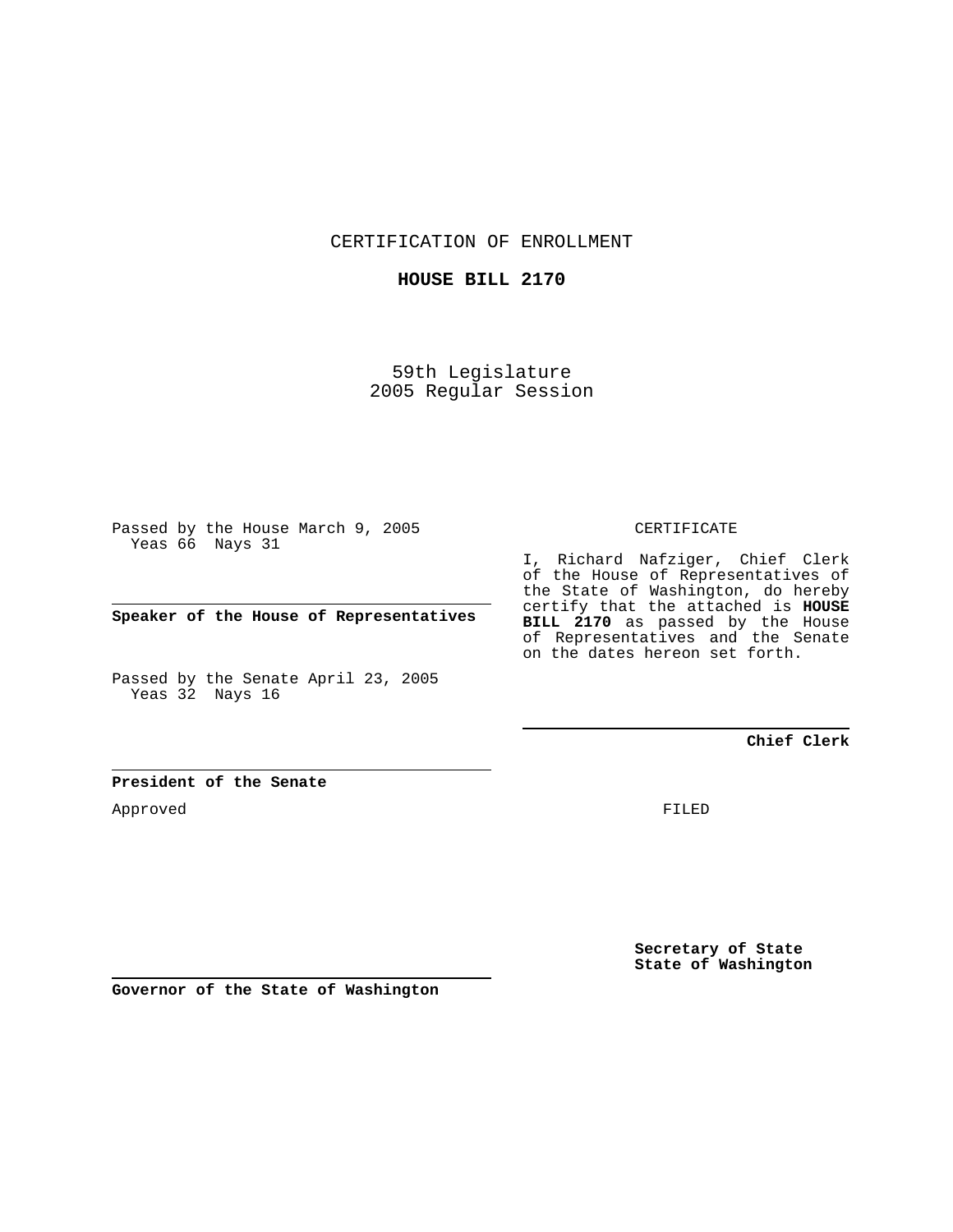CERTIFICATION OF ENROLLMENT

**HOUSE BILL 2170**

59th Legislature 2005 Regular Session

Passed by the House March 9, 2005 Yeas 66 Nays 31

**Speaker of the House of Representatives**

Passed by the Senate April 23, 2005 Yeas 32 Nays 16

## CERTIFICATE

I, Richard Nafziger, Chief Clerk of the House of Representatives of the State of Washington, do hereby certify that the attached is **HOUSE BILL 2170** as passed by the House of Representatives and the Senate on the dates hereon set forth.

**Chief Clerk**

## **President of the Senate**

Approved

FILED

**Secretary of State State of Washington**

**Governor of the State of Washington**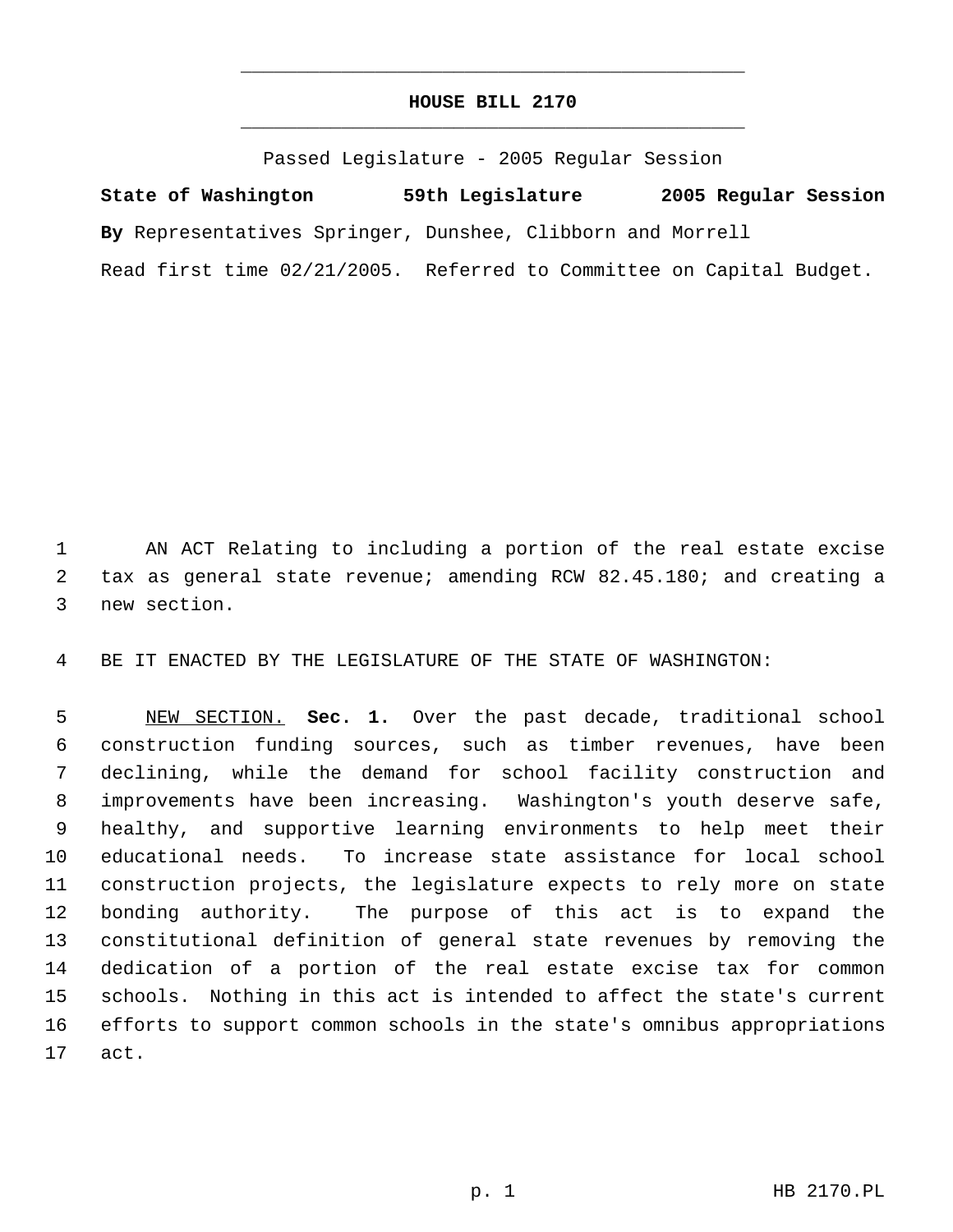## **HOUSE BILL 2170** \_\_\_\_\_\_\_\_\_\_\_\_\_\_\_\_\_\_\_\_\_\_\_\_\_\_\_\_\_\_\_\_\_\_\_\_\_\_\_\_\_\_\_\_\_

\_\_\_\_\_\_\_\_\_\_\_\_\_\_\_\_\_\_\_\_\_\_\_\_\_\_\_\_\_\_\_\_\_\_\_\_\_\_\_\_\_\_\_\_\_

Passed Legislature - 2005 Regular Session

**State of Washington 59th Legislature 2005 Regular Session By** Representatives Springer, Dunshee, Clibborn and Morrell Read first time 02/21/2005. Referred to Committee on Capital Budget.

 AN ACT Relating to including a portion of the real estate excise tax as general state revenue; amending RCW 82.45.180; and creating a new section.

BE IT ENACTED BY THE LEGISLATURE OF THE STATE OF WASHINGTON:

 NEW SECTION. **Sec. 1.** Over the past decade, traditional school construction funding sources, such as timber revenues, have been declining, while the demand for school facility construction and improvements have been increasing. Washington's youth deserve safe, healthy, and supportive learning environments to help meet their educational needs. To increase state assistance for local school construction projects, the legislature expects to rely more on state bonding authority. The purpose of this act is to expand the constitutional definition of general state revenues by removing the dedication of a portion of the real estate excise tax for common schools. Nothing in this act is intended to affect the state's current efforts to support common schools in the state's omnibus appropriations act.